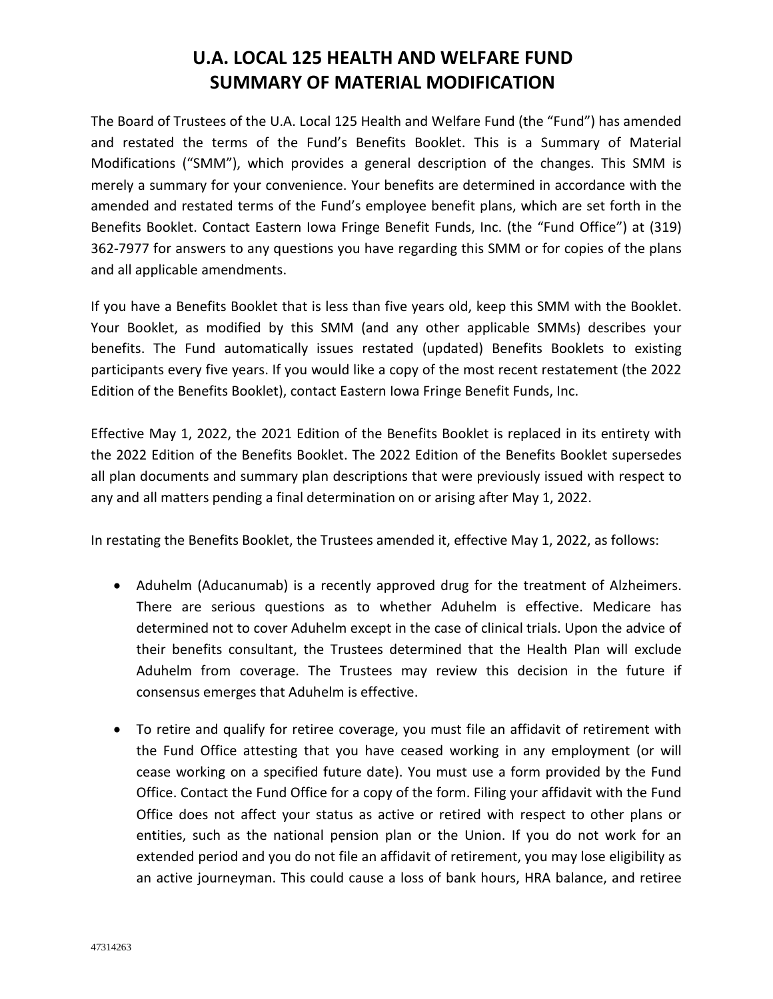## **U.A. LOCAL 125 HEALTH AND WELFARE FUND SUMMARY OF MATERIAL MODIFICATION**

The Board of Trustees of the U.A. Local 125 Health and Welfare Fund (the "Fund") has amended and restated the terms of the Fund's Benefits Booklet. This is a Summary of Material Modifications ("SMM"), which provides a general description of the changes. This SMM is merely a summary for your convenience. Your benefits are determined in accordance with the amended and restated terms of the Fund's employee benefit plans, which are set forth in the Benefits Booklet. Contact Eastern Iowa Fringe Benefit Funds, Inc. (the "Fund Office") at (319) 362-7977 for answers to any questions you have regarding this SMM or for copies of the plans and all applicable amendments.

If you have a Benefits Booklet that is less than five years old, keep this SMM with the Booklet. Your Booklet, as modified by this SMM (and any other applicable SMMs) describes your benefits. The Fund automatically issues restated (updated) Benefits Booklets to existing participants every five years. If you would like a copy of the most recent restatement (the 2022 Edition of the Benefits Booklet), contact Eastern Iowa Fringe Benefit Funds, Inc.

Effective May 1, 2022, the 2021 Edition of the Benefits Booklet is replaced in its entirety with the 2022 Edition of the Benefits Booklet. The 2022 Edition of the Benefits Booklet supersedes all plan documents and summary plan descriptions that were previously issued with respect to any and all matters pending a final determination on or arising after May 1, 2022.

In restating the Benefits Booklet, the Trustees amended it, effective May 1, 2022, as follows:

- Aduhelm (Aducanumab) is a recently approved drug for the treatment of Alzheimers. There are serious questions as to whether Aduhelm is effective. Medicare has determined not to cover Aduhelm except in the case of clinical trials. Upon the advice of their benefits consultant, the Trustees determined that the Health Plan will exclude Aduhelm from coverage. The Trustees may review this decision in the future if consensus emerges that Aduhelm is effective.
- To retire and qualify for retiree coverage, you must file an affidavit of retirement with the Fund Office attesting that you have ceased working in any employment (or will cease working on a specified future date). You must use a form provided by the Fund Office. Contact the Fund Office for a copy of the form. Filing your affidavit with the Fund Office does not affect your status as active or retired with respect to other plans or entities, such as the national pension plan or the Union. If you do not work for an extended period and you do not file an affidavit of retirement, you may lose eligibility as an active journeyman. This could cause a loss of bank hours, HRA balance, and retiree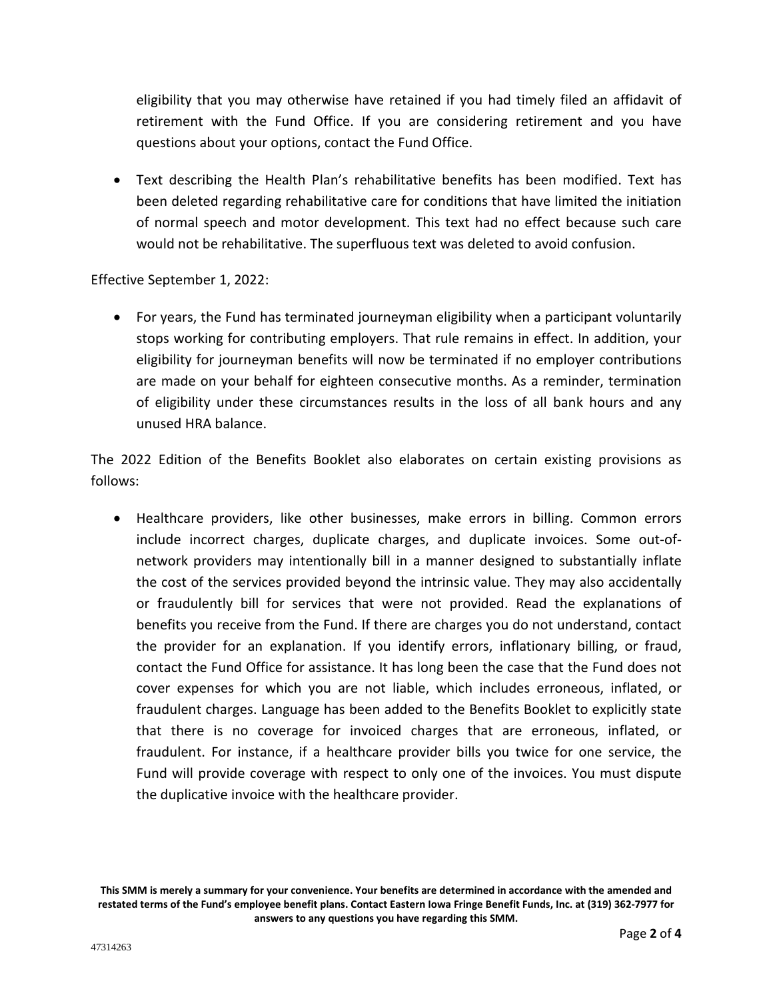eligibility that you may otherwise have retained if you had timely filed an affidavit of retirement with the Fund Office. If you are considering retirement and you have questions about your options, contact the Fund Office.

• Text describing the Health Plan's rehabilitative benefits has been modified. Text has been deleted regarding rehabilitative care for conditions that have limited the initiation of normal speech and motor development. This text had no effect because such care would not be rehabilitative. The superfluous text was deleted to avoid confusion.

Effective September 1, 2022:

• For years, the Fund has terminated journeyman eligibility when a participant voluntarily stops working for contributing employers. That rule remains in effect. In addition, your eligibility for journeyman benefits will now be terminated if no employer contributions are made on your behalf for eighteen consecutive months. As a reminder, termination of eligibility under these circumstances results in the loss of all bank hours and any unused HRA balance.

The 2022 Edition of the Benefits Booklet also elaborates on certain existing provisions as follows:

• Healthcare providers, like other businesses, make errors in billing. Common errors include incorrect charges, duplicate charges, and duplicate invoices. Some out-ofnetwork providers may intentionally bill in a manner designed to substantially inflate the cost of the services provided beyond the intrinsic value. They may also accidentally or fraudulently bill for services that were not provided. Read the explanations of benefits you receive from the Fund. If there are charges you do not understand, contact the provider for an explanation. If you identify errors, inflationary billing, or fraud, contact the Fund Office for assistance. It has long been the case that the Fund does not cover expenses for which you are not liable, which includes erroneous, inflated, or fraudulent charges. Language has been added to the Benefits Booklet to explicitly state that there is no coverage for invoiced charges that are erroneous, inflated, or fraudulent. For instance, if a healthcare provider bills you twice for one service, the Fund will provide coverage with respect to only one of the invoices. You must dispute the duplicative invoice with the healthcare provider.

**This SMM is merely a summary for your convenience. Your benefits are determined in accordance with the amended and restated terms of the Fund's employee benefit plans. Contact Eastern Iowa Fringe Benefit Funds, Inc. at (319) 362-7977 for answers to any questions you have regarding this SMM.**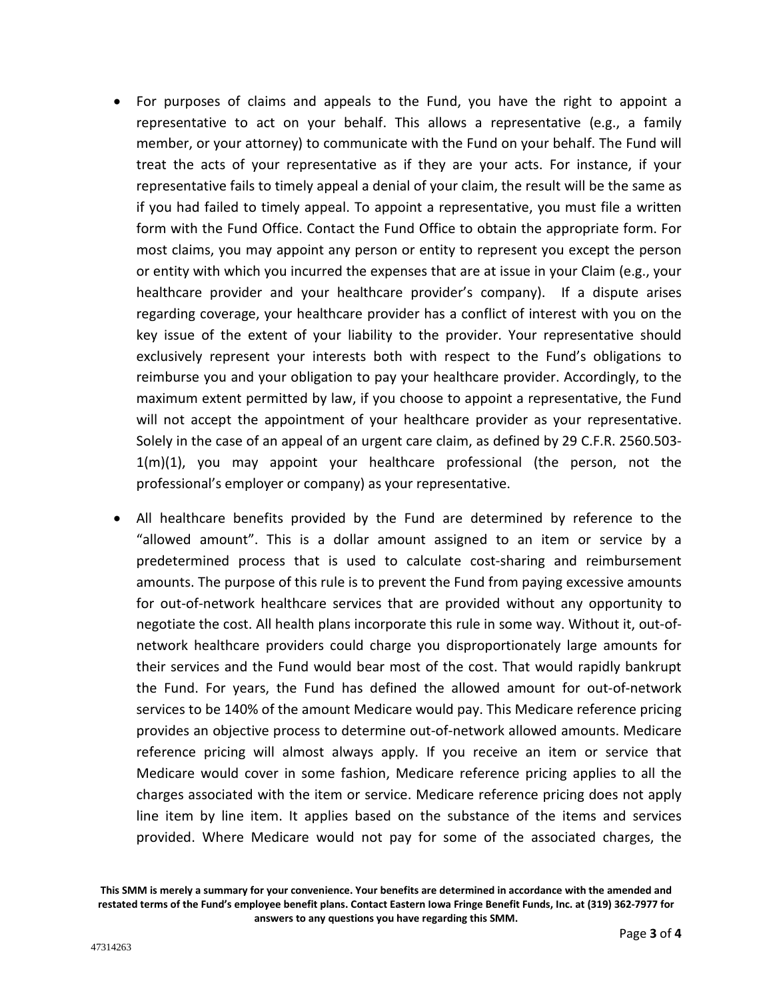- For purposes of claims and appeals to the Fund, you have the right to appoint a representative to act on your behalf. This allows a representative (e.g., a family member, or your attorney) to communicate with the Fund on your behalf. The Fund will treat the acts of your representative as if they are your acts. For instance, if your representative fails to timely appeal a denial of your claim, the result will be the same as if you had failed to timely appeal. To appoint a representative, you must file a written form with the Fund Office. Contact the Fund Office to obtain the appropriate form. For most claims, you may appoint any person or entity to represent you except the person or entity with which you incurred the expenses that are at issue in your Claim (e.g., your healthcare provider and your healthcare provider's company). If a dispute arises regarding coverage, your healthcare provider has a conflict of interest with you on the key issue of the extent of your liability to the provider. Your representative should exclusively represent your interests both with respect to the Fund's obligations to reimburse you and your obligation to pay your healthcare provider. Accordingly, to the maximum extent permitted by law, if you choose to appoint a representative, the Fund will not accept the appointment of your healthcare provider as your representative. Solely in the case of an appeal of an urgent care claim, as defined by 29 C.F.R. 2560.503- 1(m)(1), you may appoint your healthcare professional (the person, not the professional's employer or company) as your representative.
- All healthcare benefits provided by the Fund are determined by reference to the "allowed amount". This is a dollar amount assigned to an item or service by a predetermined process that is used to calculate cost-sharing and reimbursement amounts. The purpose of this rule is to prevent the Fund from paying excessive amounts for out-of-network healthcare services that are provided without any opportunity to negotiate the cost. All health plans incorporate this rule in some way. Without it, out-ofnetwork healthcare providers could charge you disproportionately large amounts for their services and the Fund would bear most of the cost. That would rapidly bankrupt the Fund. For years, the Fund has defined the allowed amount for out-of-network services to be 140% of the amount Medicare would pay. This Medicare reference pricing provides an objective process to determine out-of-network allowed amounts. Medicare reference pricing will almost always apply. If you receive an item or service that Medicare would cover in some fashion, Medicare reference pricing applies to all the charges associated with the item or service. Medicare reference pricing does not apply line item by line item. It applies based on the substance of the items and services provided. Where Medicare would not pay for some of the associated charges, the

**This SMM is merely a summary for your convenience. Your benefits are determined in accordance with the amended and restated terms of the Fund's employee benefit plans. Contact Eastern Iowa Fringe Benefit Funds, Inc. at (319) 362-7977 for answers to any questions you have regarding this SMM.**